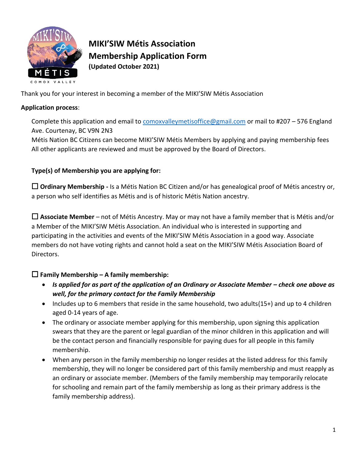

# **MIKI'SIW Métis Association Membership Application Form (Updated October 2021)**

Thank you for your interest in becoming a member of the MIKI'SIW Métis Association

### **Application process**:

Complete this application and email to [comoxvalleymetisoffice@gmail.com](mailto:comoxvalleymetisoffice@gmail.com) or mail to #207 – 576 England Ave. Courtenay, BC V9N 2N3

Métis Nation BC Citizens can become MIKI'SIW Métis Members by applying and paying membership fees All other applicants are reviewed and must be approved by the Board of Directors.

# **Type(s) of Membership you are applying for:**

☐ **Ordinary Membership -** Is a Métis Nation BC Citizen and/or has genealogical proof of Métis ancestry or, a person who self identifies as Métis and is of historic Métis Nation ancestry.

☐ **Associate Member** – not of Métis Ancestry. May or may not have a family member that is Métis and/or a Member of the MIKI'SIW Métis Association. An individual who is interested in supporting and participating in the activities and events of the MIKI'SIW Métis Association in a good way. Associate members do not have voting rights and cannot hold a seat on the MIKI'SIW Métis Association Board of Directors.

# ☐ **Family Membership – A family membership:**

- Is applied for as part of the application of an Ordinary or Associate Member check one above as *well, for the primary contact for the Family Membership*
- Includes up to 6 members that reside in the same household, two adults(15+) and up to 4 children aged 0-14 years of age.
- The ordinary or associate member applying for this membership, upon signing this application swears that they are the parent or legal guardian of the minor children in this application and will be the contact person and financially responsible for paying dues for all people in this family membership.
- When any person in the family membership no longer resides at the listed address for this family membership, they will no longer be considered part of this family membership and must reapply as an ordinary or associate member. (Members of the family membership may temporarily relocate for schooling and remain part of the family membership as long as their primary address is the family membership address).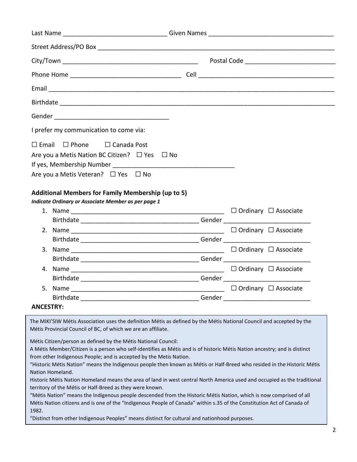| I prefer my communication to come via:                    |  |  |  |
|-----------------------------------------------------------|--|--|--|
| $\Box$ Email $\Box$ Phone $\Box$ Canada Post              |  |  |  |
| Are you a Metis Nation BC Citizen? □ Yes □ No             |  |  |  |
|                                                           |  |  |  |
| Are you a Metis Veteran? □ Yes □ No                       |  |  |  |
| <b>Additional Members for Family Membership (up to 5)</b> |  |  |  |
| Indicate Ordinary or Associate Member as per page 1       |  |  |  |
|                                                           |  |  |  |
|                                                           |  |  |  |
|                                                           |  |  |  |
|                                                           |  |  |  |
|                                                           |  |  |  |
|                                                           |  |  |  |
|                                                           |  |  |  |
|                                                           |  |  |  |
|                                                           |  |  |  |
|                                                           |  |  |  |
| <b>ANCESTRY:</b>                                          |  |  |  |

The MIKI'SIW Métis Association uses the definition Métis as defined by the Métis National Council and accepted by the Métis Provincial Council of BC, of which we are an affiliate.

Métis Citizen/person as defined by the Métis National Council:

A Métis Member/Citizen is a person who self-identifies as Métis and is of historic Métis Nation ancestry; and is distinct from other Indigenous People; and is accepted by the Metis Nation.

"Historic Métis Nation" means the Indigenous people then known as Métis or Half-Breed who resided in the Historic Métis Nation Homeland.

Historic Métis Nation Homeland means the area of land in west central North America used and occupied as the traditional territory of the Métis or Half-Breed as they were known.

"Métis Nation" means the Indigenous people descended from the Historic Métis Nation, which is now comprised of all Métis Nation citizens and is one of the "Indigenous People of Canada" within s.35 of the Constitution Act of Canada of 1982.

"Distinct from other Indigenous Peoples" means distinct for cultural and nationhood purposes.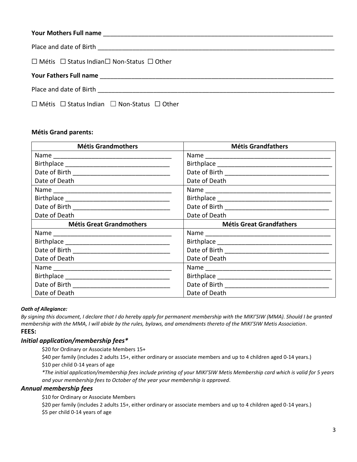| $\Box$ Métis $\Box$ Status Indian $\Box$ Non-Status $\Box$ Other |  |
|------------------------------------------------------------------|--|
|                                                                  |  |
|                                                                  |  |
| $\Box$ Métis $\Box$ Status Indian $\Box$ Non-Status $\Box$ Other |  |

### **Métis Grand parents:**

| <b>Métis Grandmothers</b>       | <b>Métis Grandfathers</b>       |
|---------------------------------|---------------------------------|
|                                 |                                 |
|                                 |                                 |
|                                 |                                 |
| Date of Death                   | Date of Death                   |
|                                 |                                 |
|                                 |                                 |
|                                 |                                 |
| Date of Death                   | Date of Death                   |
| <b>Métis Great Grandmothers</b> | <b>Métis Great Grandfathers</b> |
|                                 |                                 |
|                                 |                                 |
|                                 |                                 |
| Date of Death                   | Date of Death                   |
|                                 |                                 |
|                                 |                                 |
|                                 |                                 |
|                                 | Date of Death                   |

#### *Oath of Allegiance:*

*By signing this document, I declare that I do hereby apply for permanent membership with the MIKI'SIW (MMA). Should I be granted membership with the MMA, I will abide by the rules, bylaws, and amendments thereto of the MIKI'SIW Metis Association*. **FEES:** 

### *Initial application/membership fees\**

\$20 for Ordinary or Associate Members 15+

\$40 per family (includes 2 adults 15+, either ordinary or associate members and up to 4 children aged 0-14 years.)

\$10 per child 0-14 years of age

*\*The initial application/membership fees include printing of your MIKI'SIW Metis Membership card which is valid for 5 years and your membership fees to October of the year your membership is approved*.

### *Annual membership fees*

\$10 for Ordinary or Associate Members

\$20 per family (includes 2 adults 15+, either ordinary or associate members and up to 4 children aged 0-14 years.) \$5 per child 0-14 years of age